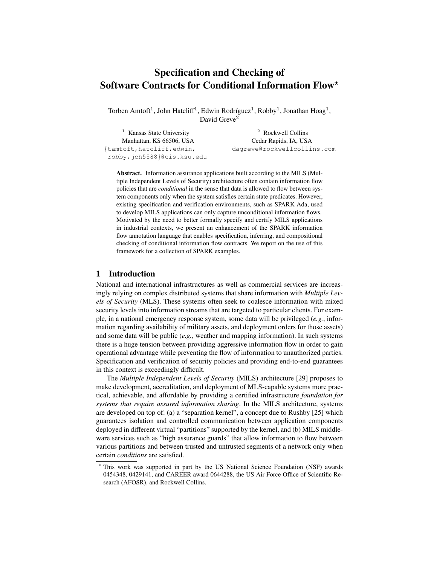# Specification and Checking of Software Contracts for Conditional Information Flow?

Torben Amtoft<sup>1</sup>, John Hatcliff<sup>1</sup>, Edwin Rodríguez<sup>1</sup>, Robby<sup>1</sup>, Jonathan Hoag<sup>1</sup>, David Greve<sup>2</sup>

<sup>1</sup> Kansas State University  $\frac{2}{3}$  Rockwell Collins Manhattan, KS 66506, USA Cedar Rapids, IA, USA {tamtoft,hatcliff,edwin, dagreve@rockwellcollins.com robby,jch5588}@cis.ksu.edu

Abstract. Information assurance applications built according to the MILS (Multiple Independent Levels of Security) architecture often contain information flow policies that are *conditional* in the sense that data is allowed to flow between system components only when the system satisfies certain state predicates. However, existing specification and verification environments, such as SPARK Ada, used to develop MILS applications can only capture unconditional information flows. Motivated by the need to better formally specify and certify MILS applications in industrial contexts, we present an enhancement of the SPARK information flow annotation language that enables specification, inferring, and compositional checking of conditional information flow contracts. We report on the use of this framework for a collection of SPARK examples.

# 1 Introduction

National and international infrastructures as well as commercial services are increasingly relying on complex distributed systems that share information with *Multiple Levels of Security* (MLS). These systems often seek to coalesce information with mixed security levels into information streams that are targeted to particular clients. For example, in a national emergency response system, some data will be privileged (*e.g.*, information regarding availability of military assets, and deployment orders for those assets) and some data will be public (*e.g.*, weather and mapping information). In such systems there is a huge tension between providing aggressive information flow in order to gain operational advantage while preventing the flow of information to unauthorized parties. Specification and verification of security policies and providing end-to-end guarantees in this context is exceedingly difficult.

The *Multiple Independent Levels of Security* (MILS) architecture [29] proposes to make development, accreditation, and deployment of MLS-capable systems more practical, achievable, and affordable by providing a certified infrastructure *foundation for systems that require assured information sharing*. In the MILS architecture, systems are developed on top of: (a) a "separation kernel", a concept due to Rushby [25] which guarantees isolation and controlled communication between application components deployed in different virtual "partitions" supported by the kernel, and (b) MILS middleware services such as "high assurance guards" that allow information to flow between various partitions and between trusted and untrusted segments of a network only when certain *conditions* are satisfied.

<sup>?</sup> This work was supported in part by the US National Science Foundation (NSF) awards 0454348, 0429141, and CAREER award 0644288, the US Air Force Office of Scientific Research (AFOSR), and Rockwell Collins.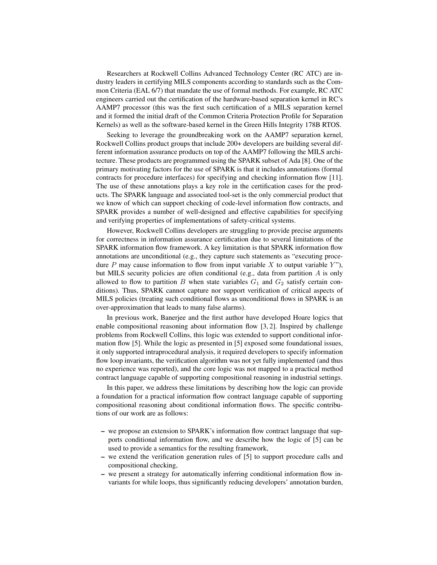Researchers at Rockwell Collins Advanced Technology Center (RC ATC) are industry leaders in certifying MILS components according to standards such as the Common Criteria (EAL 6/7) that mandate the use of formal methods. For example, RC ATC engineers carried out the certification of the hardware-based separation kernel in RC's AAMP7 processor (this was the first such certification of a MILS separation kernel and it formed the initial draft of the Common Criteria Protection Profile for Separation Kernels) as well as the software-based kernel in the Green Hills Integrity 178B RTOS.

Seeking to leverage the groundbreaking work on the AAMP7 separation kernel, Rockwell Collins product groups that include 200+ developers are building several different information assurance products on top of the AAMP7 following the MILS architecture. These products are programmed using the SPARK subset of Ada [8]. One of the primary motivating factors for the use of SPARK is that it includes annotations (formal contracts for procedure interfaces) for specifying and checking information flow [11]. The use of these annotations plays a key role in the certification cases for the products. The SPARK language and associated tool-set is the only commercial product that we know of which can support checking of code-level information flow contracts, and SPARK provides a number of well-designed and effective capabilities for specifying and verifying properties of implementations of safety-critical systems.

However, Rockwell Collins developers are struggling to provide precise arguments for correctness in information assurance certification due to several limitations of the SPARK information flow framework. A key limitation is that SPARK information flow annotations are unconditional (e.g., they capture such statements as "executing procedure  $P$  may cause information to flow from input variable  $X$  to output variable  $Y$ "), but MILS security policies are often conditional (e.g., data from partition  $A$  is only allowed to flow to partition B when state variables  $G_1$  and  $G_2$  satisfy certain conditions). Thus, SPARK cannot capture nor support verification of critical aspects of MILS policies (treating such conditional flows as unconditional flows in SPARK is an over-approximation that leads to many false alarms).

In previous work, Banerjee and the first author have developed Hoare logics that enable compositional reasoning about information flow [3, 2]. Inspired by challenge problems from Rockwell Collins, this logic was extended to support conditional information flow [5]. While the logic as presented in [5] exposed some foundational issues, it only supported intraprocedural analysis, it required developers to specify information flow loop invariants, the verification algorithm was not yet fully implemented (and thus no experience was reported), and the core logic was not mapped to a practical method contract language capable of supporting compositional reasoning in industrial settings.

In this paper, we address these limitations by describing how the logic can provide a foundation for a practical information flow contract language capable of supporting compositional reasoning about conditional information flows. The specific contributions of our work are as follows:

- we propose an extension to SPARK's information flow contract language that supports conditional information flow, and we describe how the logic of [5] can be used to provide a semantics for the resulting framework,
- we extend the verification generation rules of [5] to support procedure calls and compositional checking,
- we present a strategy for automatically inferring conditional information flow invariants for while loops, thus significantly reducing developers' annotation burden,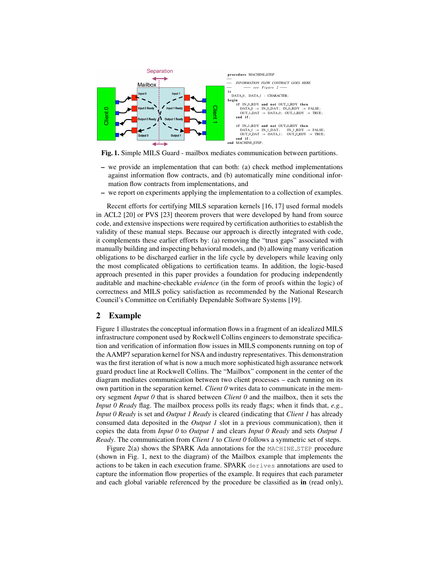

Fig. 1. Simple MILS Guard - mailbox mediates communication between partitions.

- we provide an implementation that can both: (a) check method implementations against information flow contracts, and (b) automatically mine conditional information flow contracts from implementations, and
- we report on experiments applying the implementation to a collection of examples.

Recent efforts for certifying MILS separation kernels [16, 17] used formal models in ACL2 [20] or PVS [23] theorem provers that were developed by hand from source code, and extensive inspections were required by certification authorities to establish the validity of these manual steps. Because our approach is directly integrated with code, it complements these earlier efforts by: (a) removing the "trust gaps" associated with manually building and inspecting behavioral models, and (b) allowing many verification obligations to be discharged earlier in the life cycle by developers while leaving only the most complicated obligations to certification teams. In addition, the logic-based approach presented in this paper provides a foundation for producing independently auditable and machine-checkable *evidence* (in the form of proofs within the logic) of correctness and MILS policy satisfaction as recommended by the National Research Council's Committee on Certifiably Dependable Software Systems [19].

#### 2 Example

Figure 1 illustrates the conceptual information flows in a fragment of an idealized MILS infrastructure component used by Rockwell Collins engineers to demonstrate specification and verification of information flow issues in MILS components running on top of the AAMP7 separation kernel for NSA and industry representatives. This demonstration was the first iteration of what is now a much more sophisticated high assurance network guard product line at Rockwell Collins. The "Mailbox" component in the center of the diagram mediates communication between two client processes – each running on its own partition in the separation kernel. *Client 0* writes data to communicate in the memory segment *Input 0* that is shared between *Client 0* and the mailbox, then it sets the *Input 0 Ready* flag. The mailbox process polls its ready flags; when it finds that, *e.g.*, *Input 0 Ready* is set and *Output 1 Ready* is cleared (indicating that *Client 1* has already consumed data deposited in the *Output 1* slot in a previous communication), then it copies the data from *Input 0* to *Output 1* and clears *Input 0 Ready* and sets *Output 1 Ready*. The communication from *Client 1* to *Client 0* follows a symmetric set of steps.

Figure 2(a) shows the SPARK Ada annotations for the MACHINE STEP procedure (shown in Fig. 1, next to the diagram) of the Mailbox example that implements the actions to be taken in each execution frame. SPARK derives annotations are used to capture the information flow properties of the example. It requires that each parameter and each global variable referenced by the procedure be classified as in (read only),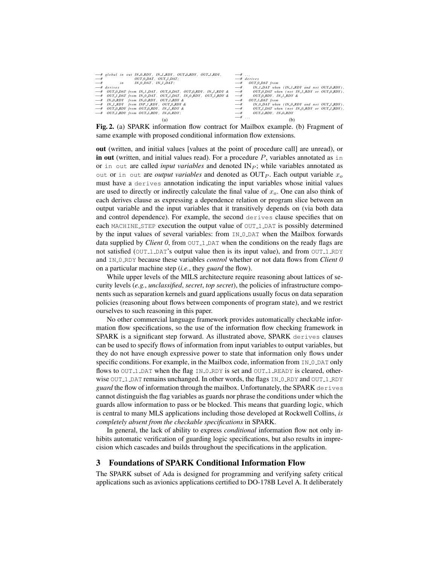|       | - # global in out IN_0_RDY, IN_1_RDY, OUT_0_RDY, OUT_1_RDY,                                                  | $-\#$ |                                                           |
|-------|--------------------------------------------------------------------------------------------------------------|-------|-----------------------------------------------------------|
| $-$ # | $OUT_0$ $DATA_1$ $OUT_1$ $DATA_7$ .                                                                          |       | $-$ # derives                                             |
|       |                                                                                                              |       | $\rightarrow$ # OUT_0_DAT from                            |
|       | $-$ # derives                                                                                                |       | $\rightarrow$ IN_I_DAT when (IN_I_RDY and not OUT_0_RDY), |
|       | -# OUT_0_DAT_from_IN_1_DAT,_OUT_0_DAT,_OUT_0_RDY,_IN_1_RDY_&___# OUT_0_DAT_when_(not_IN_1_RDY_or_OUT_0_RDY), |       |                                                           |
|       | - # OUT_I_DAT_from IN_O_DAT, OUT_I_DAT, IN_O_RDY, OUT_I_RDY & -# OUT_O_RDY, IN_I_RDY &                       |       |                                                           |
|       | -# IN_0_RDY from IN_0_RDY, OUT_1_RDY &                                                                       | $-$ # | OUT_I_DAT from                                            |
|       | -# IN_I_RDY from INP_I_RDY, OUT_0_RDY &                                                                      | $-$ # | IN_0_DAT when (IN_0_RDY and not OUT_1_RDY),               |
|       | -# OUT_0_RDY from OUT_0_RDY, IN_1_RDY &                                                                      | $-$ # | OUT_I_DAT when (not IN_0_RDY or OUT_I_RDY),               |
|       | -# OUT_I_RDY from OUT_I_RDY, IN_0_RDY;                                                                       | $-$ # | OUT_I_RDY, IN_0_RDY                                       |
|       | (a)                                                                                                          | $ \#$ | (b)                                                       |
|       |                                                                                                              |       |                                                           |

Fig. 2. (a) SPARK information flow contract for Mailbox example. (b) Fragment of same example with proposed conditional information flow extensions.

out (written, and initial values [values at the point of procedure call] are unread), or in out (written, and initial values read). For a procedure  $P$ , variables annotated as in or in out are called *input variables* and denoted  $\text{IN}_P$ ; while variables annotated as out or in out are *output variables* and denoted as  $OUT<sub>P</sub>$ . Each output variable  $x<sub>o</sub>$ must have a derives annotation indicating the input variables whose initial values are used to directly or indirectly calculate the final value of  $x<sub>o</sub>$ . One can also think of each derives clause as expressing a dependence relation or program slice between an output variable and the input variables that it transitively depends on (via both data and control dependence). For example, the second derives clause specifies that on each MACHINE STEP execution the output value of OUT 1 DAT is possibly determined by the input values of several variables: from IN\_0\_DAT when the Mailbox forwards data supplied by *Client 0*, from OUT 1 DAT when the conditions on the ready flags are not satisfied (OUT 1 DAT's output value then is its input value), and from OUT 1 RDY and IN 0 RDY because these variables *control* whether or not data flows from *Client 0* on a particular machine step (*i.e.*, they *guard* the flow).

While upper levels of the MILS architecture require reasoning about lattices of security levels (*e.g.*, *unclassified*, *secret*, *top secret*), the policies of infrastructure components such as separation kernels and guard applications usually focus on data separation policies (reasoning about flows between components of program state), and we restrict ourselves to such reasoning in this paper.

No other commercial language framework provides automatically checkable information flow specifications, so the use of the information flow checking framework in SPARK is a significant step forward. As illustrated above, SPARK derives clauses can be used to specify flows of information from input variables to output variables, but they do not have enough expressive power to state that information only flows under specific conditions. For example, in the Mailbox code, information from IN<sub>-0</sub> DAT only flows to  $OUT_1$  DAT when the flag IN 0 RDY is set and  $OUT_1$  READY is cleared, otherwise OUT\_1\_DAT remains unchanged. In other words, the flags IN\_0\_RDY and OUT\_1\_RDY *guard* the flow of information through the mailbox. Unfortunately, the SPARK derives cannot distinguish the flag variables as guards nor phrase the conditions under which the guards allow information to pass or be blocked. This means that guarding logic, which is central to many MLS applications including those developed at Rockwell Collins, *is completely absent from the checkable specifications* in SPARK.

In general, the lack of ability to express *conditional* information flow not only inhibits automatic verification of guarding logic specifications, but also results in imprecision which cascades and builds throughout the specifications in the application.

# 3 Foundations of SPARK Conditional Information Flow

The SPARK subset of Ada is designed for programming and verifying safety critical applications such as avionics applications certified to DO-178B Level A. It deliberately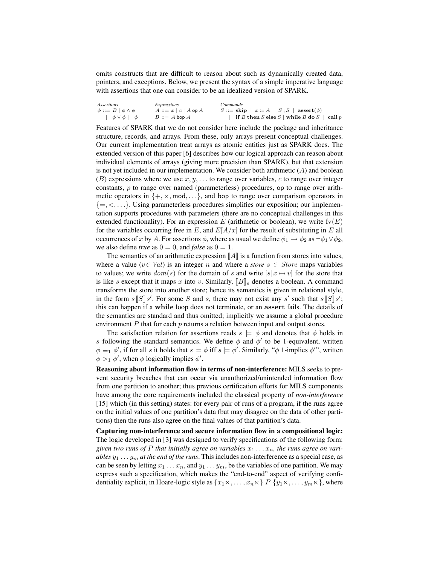omits constructs that are difficult to reason about such as dynamically created data, pointers, and exceptions. Below, we present the syntax of a simple imperative language with assertions that one can consider to be an idealized version of SPARK.

*Assertions*  $\phi$  ::=  $B \mid \phi \land \phi$  $|\phi \vee \phi| \neg \phi$ *Expressions*  $A ::= x \mid c \mid A$  op  $A$  $B ::= A$  bop  $A$ *Commands*  $S ::=$ skip |  $x = A | S; S |$  assert $(\phi)$ | if  $B$  then  $S$  else  $S$  | while  $B$  do  $S$  | call  $p$ 

Features of SPARK that we do not consider here include the package and inheritance structure, records, and arrays. From these, only arrays present conceptual challenges. Our current implementation treat arrays as atomic entities just as SPARK does. The extended version of this paper [6] describes how our logical approach can reason about individual elements of arrays (giving more precision than SPARK), but that extension is not yet included in our implementation. We consider both arithmetic  $(A)$  and boolean  $(B)$  expressions where we use  $x, y, \ldots$  to range over variables, c to range over integer constants, p to range over named (parameterless) procedures, op to range over arithmetic operators in  $\{+, \times, \text{mod}, \ldots\}$ , and bop to range over comparison operators in  $\{=,\langle,\ldots\rangle\}$ . Using parameterless procedures simplifies our exposition; our implementation supports procedures with parameters (there are no conceptual challenges in this extended functionality). For an expression E (arithmetic or boolean), we write  $f\nu(E)$ for the variables occurring free in E, and  $E[A/x]$  for the result of substituting in E all occurrences of x by A. For assertions  $\phi$ , where as usual we define  $\phi_1 \rightarrow \phi_2$  as  $\neg \phi_1 \lor \phi_2$ , we also define *true* as  $0 = 0$ , and *false* as  $0 = 1$ .

The semantics of an arithmetic expression  $\llbracket A \rrbracket$  is a function from stores into values, where a value ( $v \in Val$ ) is an integer n and where a *store*  $s \in Store$  maps variables to values; we write  $dom(s)$  for the domain of s and write  $[s|x \mapsto v]$  for the store that is like s except that it maps x into v. Similarly,  $[\![B]\!]_s$  denotes a boolean. A command transforms the store into another store; hence its semantics is given in relational style, in the form  $s[[S]]s'$ . For some S and s, there may not exist any s' such that  $s[[S]]s'$ ; this can happen if a while loop does not terminate, or an assert fails. The details of the semantics are standard and thus omitted; implicitly we assume a global procedure environment  $P$  that for each  $p$  returns a relation between input and output stores.

The satisfaction relation for assertions reads  $s = \phi$  and denotes that  $\phi$  holds in s following the standard semantics. We define  $\phi$  and  $\phi'$  to be 1-equivalent, written  $\phi \equiv_1 \phi'$ , if for all s it holds that  $s \models \phi$  iff  $s \models \phi'$ . Similarly, " $\phi$  1-implies  $\phi''$ ", written  $\phi \triangleright_1 \phi'$ , when  $\phi$  logically implies  $\phi'$ .

Reasoning about information flow in terms of non-interference: MILS seeks to prevent security breaches that can occur via unauthorized/unintended information flow from one partition to another; thus previous certification efforts for MILS components have among the core requirements included the classical property of *non-interference* [15] which (in this setting) states: for every pair of runs of a program, if the runs agree on the initial values of one partition's data (but may disagree on the data of other partitions) then the runs also agree on the final values of that partition's data.

Capturing non-interference and secure information flow in a compositional logic: The logic developed in [3] was designed to verify specifications of the following form: given two runs of P that initially agree on variables  $x_1 \ldots x_n$ , the runs agree on vari*ables*  $y_1 \nldots y_m$  *at the end of the runs*. This includes non-interference as a special case, as can be seen by letting  $x_1 \ldots x_n$ , and  $y_1 \ldots y_m$ , be the variables of one partition. We may express such a specification, which makes the "end-to-end" aspect of verifying confidentiality explicit, in Hoare-logic style as  $\{x_1 \ltimes, \ldots, x_n \ltimes\}$   $P \{y_1 \ltimes, \ldots, y_m \ltimes\}$ , where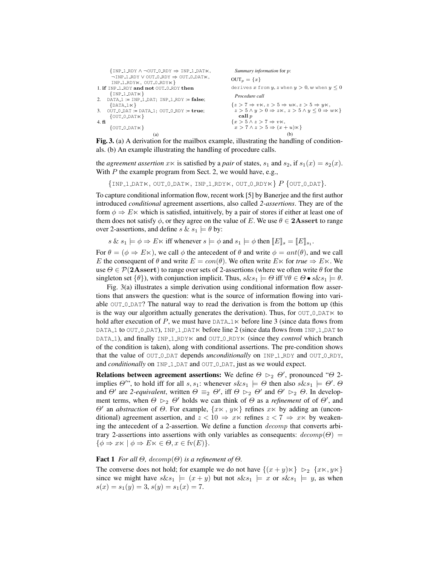| $\{INP_1\_RDY \wedge \neg OUT_0\_RDY \Rightarrow INP_1\_DATA,$                    | Summary information for p:                                                                 |
|-----------------------------------------------------------------------------------|--------------------------------------------------------------------------------------------|
| $\neg INP_1$ RDY V OUT_0_RDY $\Rightarrow$ OUT_0_DATK,<br>INP_1_RDYK, OUT_0_RDYK} | $OUT_n = \{x\}$                                                                            |
| 1. if INP_1_RDY and not OUT_0_RDY then                                            | derives x from y, z when $y > 0$ , w when $y \leq 0$                                       |
| ${INP1.DATK}$                                                                     | Procedure call                                                                             |
| 2. DATA $1 := \text{INP-1}$ .DAT; $\text{INP-1}$ .RDY := $\text{false}$ ;         |                                                                                            |
| $\{DATA_1\ltimes\}$                                                               | $\{z > 7 \Rightarrow v \ltimes, z > 5 \Rightarrow u \ltimes, z > 5 \Rightarrow y \ltimes,$ |
| 3. OUT_0_DAT := DATA_1; OUT_0_RDY := $true$ ;                                     | $z > 5 \land y > 0 \Rightarrow z \times, z > 5 \land y \leq 0 \Rightarrow w \times$        |
| $\{OUT_0_DATK\}$                                                                  | call $p$                                                                                   |
| 4. f <sub>i</sub>                                                                 | $\{x > 5 \land z > 7 \Rightarrow v \Join,$                                                 |
| $\{OUT_0_DATK\}$                                                                  | $x > 7 \land z > 5 \Rightarrow (x+u) \times$                                               |
| (a)                                                                               | (b)                                                                                        |

Fig. 3. (a) A derivation for the mailbox example, illustrating the handling of conditionals. (b) An example illustrating the handling of procedure calls.

the *agreement assertion*  $x \times$  is satisfied by a *pair* of states,  $s_1$  and  $s_2$ , if  $s_1(x) = s_2(x)$ . With  $P$  the example program from Sect. 2, we would have, e.g.,

 $\{$  INP 1 DATK, OUT 0 DATK, INP 1 RDYK, OUT 0 RDYK  $P$   $\{$  OUT 0 DAT $\}$ .

To capture conditional information flow, recent work [5] by Banerjee and the first author introduced *conditional* agreement assertions, also called *2-assertions*. They are of the form  $\phi \Rightarrow E \ltimes \phi$  which is satisfied, intuitively, by a pair of stores if either at least one of them does not satisfy  $\phi$ , or they agree on the value of E. We use  $\theta \in \mathbf{2}$ Assert to range over 2-assertions, and define s &  $s_1 \models \theta$  by:

 $s \& s_1 \models \phi \Rightarrow E \times \text{ iff whenever } s \models \phi \text{ and } s_1 \models \phi \text{ then } [E]_s = [E]_{s_1}.$ 

For  $\theta = (\phi \Rightarrow E \times)$ , we call  $\phi$  the antecedent of  $\theta$  and write  $\phi = ant(\theta)$ , and we call E the consequent of  $\theta$  and write  $E = con(\theta)$ . We often write  $E \ltimes$  for *true*  $\Rightarrow E \ltimes$ . We use  $\Theta \in \mathcal{P}(2\text{Asset})$  to range over sets of 2-assertions (where we often write  $\theta$  for the singleton set  $\{\theta\}$ ), with conjunction implicit. Thus,  $s\&s_1 \models \Theta$  iff  $\forall \theta \in \Theta \bullet s\&s_1 \models \theta$ .

Fig. 3(a) illustrates a simple derivation using conditional information flow assertions that answers the question: what is the source of information flowing into variable OUT 0 DAT? The natural way to read the derivation is from the bottom up (this is the way our algorithm actually generates the derivation). Thus, for  $OUT_0_DAT \times$  to hold after execution of P, we must have  $\text{DATA-1} \ltimes \text{before line 3}$  (since data flows from DATA 1 to OUT 0 DAT), INP 1 DATK before line 2 (since data flows from INP 1 DAT to DATA<sub>1</sub>), and finally INP<sub>11</sub>RDY<sub>N</sub> and OUT<sub>10</sub>RDY<sub>N</sub> (since they *control* which branch of the condition is taken), along with conditional assertions. The pre-condition shows that the value of OUT<sub>-0</sub>-DAT depends *unconditionally* on INP-1-RDY and OUT-0-RDY, and *conditionally* on INP<sub>-1</sub>-DAT and OUT<sub>-0</sub>-DAT, just as we would expect.

**Relations between agreement assertions:** We define  $\Theta \geq 2$   $\Theta'$ , pronounced " $\Theta$  2implies  $\Theta''$ , to hold iff for all  $s, s_1$ : whenever  $s\&s_1 \models \Theta$  then also  $s\&s_1 \models \Theta'$ .  $\Theta$ and  $\Theta'$  are 2-equivalent, written  $\Theta \equiv_2 \Theta'$ , iff  $\Theta \rhd_2 \Theta'$  and  $\Theta' \rhd_2 \Theta$ . In development terms, when  $\Theta \rhd_2 \Theta'$  holds we can think of  $\Theta$  as a *refinement* of of  $\Theta'$ , and  $\Theta'$  an *abstraction* of  $\Theta$ . For example,  $\{x \ltimes, y \ltimes\}$  refines  $x \ltimes$  by adding an (unconditional) agreement assertion, and  $z < 10 \Rightarrow x \ltimes z$  refines  $z < 7 \Rightarrow x \ltimes z$  by weakening the antecedent of a 2-assertion. We define a function decomp that converts arbitrary 2-assertions into assertions with only variables as consequents:  $decomp(\Theta)$  =  $\{\phi \Rightarrow x \ltimes \mid \phi \Rightarrow E \ltimes \in \Theta, x \in \text{fv}(E)\}.$ 

### **Fact 1** *For all*  $\Theta$ *, decomp*( $\Theta$ ) *is a refinement of*  $\Theta$ *.*

The converse does not hold; for example we do not have  $\{(x+y)\times\} \geq_2 \{x\ltimes, y\ltimes\}$ since we might have  $s\&s_1 \models (x+y)$  but not  $s\&s_1 \models x$  or  $s\&s_1 \models y$ , as when  $s(x) = s_1(y) = 3, s(y) = s_1(x) = 7.$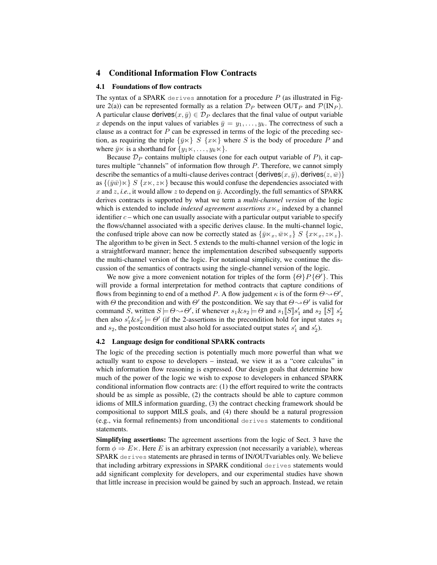# 4 Conditional Information Flow Contracts

#### 4.1 Foundations of flow contracts

The syntax of a SPARK derives annotation for a procedure  $P$  (as illustrated in Figure 2(a)) can be represented formally as a relation  $\mathcal{D}_P$  between OUT<sub>P</sub> and  $\mathcal{P}(\text{IN}_P)$ . A particular clause derives $(x, \bar{y}) \in \mathcal{D}_P$  declares that the final value of output variable x depends on the input values of variables  $\bar{y} = y_1, \ldots, y_k$ . The correctness of such a clause as a contract for  $P$  can be expressed in terms of the logic of the preceding section, as requiring the triple  $\{\bar{y}\times\}$  S  $\{x\ltimes\}$  where S is the body of procedure P and where  $\bar{y} \ltimes$  is a shorthand for  $\{y_1 \ltimes, \ldots, y_k \ltimes\}$ .

Because  $\mathcal{D}_P$  contains multiple clauses (one for each output variable of P), it captures multiple "channels" of information flow through  $P$ . Therefore, we cannot simply describe the semantics of a multi-clause derives contract {derives(x,  $\bar{y}$ ), derives(z,  $\bar{w}$ )} as  $\{(\bar{y}\bar{w})\ltimes\} S \{x\ltimes,z\ltimes\}$  because this would confuse the dependencies associated with  $x$  and  $z$ , *i.e.*, it would allow  $z$  to depend on  $\bar{y}$ . Accordingly, the full semantics of SPARK derives contracts is supported by what we term a *multi-channel version* of the logic which is extended to include *indexed agreement assertions*  $x \times c$  indexed by a channel identifier  $c$  – which one can usually associate with a particular output variable to specify the flows/channel associated with a specific derives clause. In the multi-channel logic, the confused triple above can now be correctly stated as  $\{\bar{y}\ltimes_x, \bar{w}\ltimes_z\}$   $S \{\lt x\ltimes_z, \lt x\ltimes_z\}.$ The algorithm to be given in Sect. 5 extends to the multi-channel version of the logic in a straightforward manner; hence the implementation described subsequently supports the multi-channel version of the logic. For notational simplicity, we continue the discussion of the semantics of contracts using the single-channel version of the logic.

We now give a more convenient notation for triples of the form  $\{\Theta\}P\{\Theta'\}.$  This will provide a formal interpretation for method contracts that capture conditions of flows from beginning to end of a method P. A flow judgement  $\kappa$  is of the form  $\Theta \rightarrow \Theta'$ , with  $\Theta$  the precondition and with  $\Theta'$  the postcondition. We say that  $\Theta \rightarrow \Theta'$  is valid for command S, written  $S \models \Theta \leadsto \Theta'$ , if whenever  $s_1 \& s_2 \models \Theta$  and  $s_1 \llbracket S \rrbracket s'_1$  and  $s_2 \llbracket S \rrbracket s'_2$ then also  $s_1' \& s_2' \models \Theta'$  (if the 2-assertions in the precondition hold for input states  $s_1$ and  $s_2$ , the postcondition must also hold for associated output states  $s'_1$  and  $s'_2$ ).

#### 4.2 Language design for conditional SPARK contracts

The logic of the preceding section is potentially much more powerful than what we actually want to expose to developers – instead, we view it as a "core calculus" in which information flow reasoning is expressed. Our design goals that determine how much of the power of the logic we wish to expose to developers in enhanced SPARK conditional information flow contracts are: (1) the effort required to write the contracts should be as simple as possible, (2) the contracts should be able to capture common idioms of MILS information guarding, (3) the contract checking framework should be compositional to support MILS goals, and (4) there should be a natural progression (e.g., via formal refinements) from unconditional derives statements to conditional statements.

Simplifying assertions: The agreement assertions from the logic of Sect. 3 have the form  $\phi \Rightarrow E \times$ . Here E is an arbitrary expression (not necessarily a variable), whereas SPARK derives statements are phrased in terms of IN/OUTvariables only. We believe that including arbitrary expressions in SPARK conditional derives statements would add significant complexity for developers, and our experimental studies have shown that little increase in precision would be gained by such an approach. Instead, we retain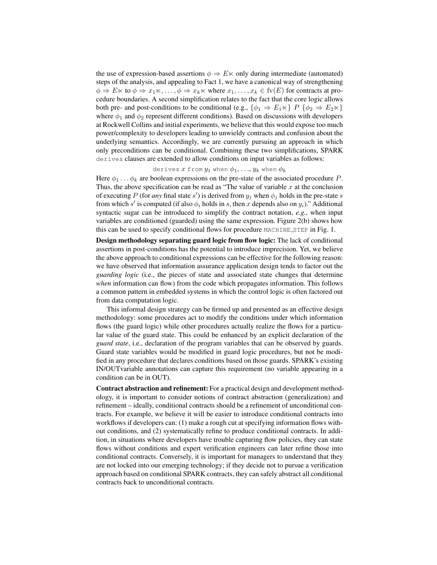the use of expression-based assertions  $\phi \Rightarrow E \ltimes \text{only during intermediate (automated)}$ steps of the analysis, and appealing to Fact 1, we have a canonical way of strengthening  $\phi \Rightarrow E \ltimes \text{ to } \phi \Rightarrow x_1 \ltimes, \ldots, \phi \Rightarrow x_k \ltimes \text{ where } x_1, \ldots, x_k \in \text{fv}(E) \text{ for contracts at pro-}$ cedure boundaries. A second simplification relates to the fact that the core logic allows both pre- and post-conditions to be conditional (e.g.,  $\{\phi_1 \Rightarrow E_1 \ltimes \}$   $P \{\phi_2 \Rightarrow E_2 \ltimes \}$ ) where  $\phi_1$  and  $\phi_2$  represent different conditions). Based on discussions with developers at Rockwell Collins and initial experiments, we believe that this would expose too much power/complexity to developers leading to unwieldy contracts and confusion about the underlying semantics. Accordingly, we are currently pursuing an approach in which only preconditions can be conditional. Combining these two simplifications, SPARK derives clauses are extended to allow conditions on input variables as follows:

# derives x from  $y_1$  when  $\phi_1, \ldots, y_k$  when  $\phi_k$

Here  $\phi_1 \dots \phi_k$  are boolean expressions on the pre-state of the associated procedure P. Thus, the above specification can be read as "The value of variable  $x$  at the conclusion of executing P (for *any* final state  $s'$ ) is derived from  $y_j$  when  $\phi_j$  holds in the pre-state s from which s' is computed (if also  $\phi_i$  holds in s, then x depends also on  $y_i$ )." Additional syntactic sugar can be introduced to simplify the contract notation, *e.g.*, when input variables are conditioned (guarded) using the same expression. Figure 2(b) shows how this can be used to specify conditional flows for procedure MACHINE STEP in Fig. 1.

Design methodology separating guard logic from flow logic: The lack of conditional assertions in post-conditions has the potential to introduce imprecision. Yet, we believe the above approach to conditional expressions can be effective for the following reason: we have observed that information assurance application design tends to factor out the *guarding logic* (i.e., the pieces of state and associated state changes that determine *when* information can flow) from the code which propagates information. This follows a common pattern in embedded systems in which the control logic is often factored out from data computation logic.

This informal design strategy can be firmed up and presented as an effective design methodology: some procedures act to modify the conditions under which information flows (the guard logic) while other procedures actually realize the flows for a particular value of the guard state. This could be enhanced by an explicit declaration of the *guard state*, i.e., declaration of the program variables that can be observed by guards. Guard state variables would be modified in guard logic procedures, but not be modified in any procedure that declares conditions based on those guards. SPARK's existing IN/OUTvariable annotations can capture this requirement (no variable appearing in a condition can be in OUT).

Contract abstraction and refinement: For a practical design and development methodology, it is important to consider notions of contract abstraction (generalization) and refinement – ideally, conditional contracts should be a refinement of unconditional contracts. For example, we believe it will be easier to introduce conditional contracts into workflows if developers can: (1) make a rough cut at specifying information flows without conditions, and (2) systematically refine to produce conditional contracts. In addition, in situations where developers have trouble capturing flow policies, they can state flows without conditions and expert verification engineers can later refine those into conditional contracts. Conversely, it is important for managers to understand that they are not locked into our emerging technology; if they decide not to pursue a verification approach based on conditional SPARK contracts, they can safely abstract all conditional contracts back to unconditional contracts.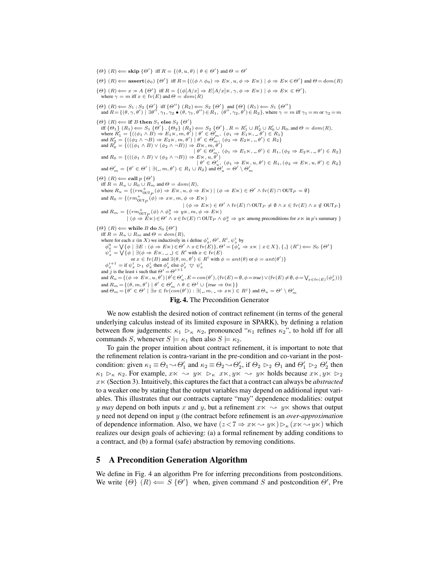$\{\Theta\}$   $(R) \leftarrow$  skip  $\{\Theta'\}$  iff  $R = \{(\theta, u, \theta) | \theta \in \Theta'\}$  and  $\Theta = \Theta'$ 

 $\{\Theta\}$   $(R) \leftarrow \text{assert}(\phi_0)$   $\{\Theta'\}$  iff  $R = \{((\phi \land \phi_0) \Rightarrow E \ltimes, u, \phi \Rightarrow E \ltimes) \mid \phi \Rightarrow E \ltimes \in \Theta'\}$  and  $\Theta = dom(R)$ 

 ${\Theta} \{ \Theta \} (R) \Longleftarrow x := A {\Theta}' \}$  iff  $R = {\phi[A/x] \Rightarrow E[A/x] \times , \gamma, \phi \Rightarrow E \times {\Theta}' \}$ ,

where  $\gamma = m$  iff  $x \in \text{fv}(E)$  and  $\Theta = dom(R)$ 

{ $\Theta$ }  $(R) \leftarrow S_1$ ;  $S_2$  { $\Theta'$ } iff { $\Theta''$ }  $(R_2) \leftarrow S_2$  { $\Theta'$ } and { $\Theta$ }  $(R_1) \leftarrow S_1$  { $\Theta''$ }<br>and  $R = \{(\theta, \gamma, \theta') \mid \exists \theta'', \gamma_1, \gamma_2 \bullet (\theta, \gamma_1, \theta'') \in R_1$ ,  $(\theta'', \gamma_2, \theta') \in R_2\}$ , where  $\gamma = m$  iff  $\gamma_1 = m$  or  $\gamma_2 = m$  $\{\Theta\}$  (R)  $\Leftarrow$  if B then  $S_1$  else  $S_2$   $\{\Theta'\}$ iff  $\{\Theta_1\}$   $(R_1) \Longleftarrow S_1$   $\{\Theta'\}$  ,  $\{\Theta_2\}$   $(R_2) \Longleftarrow S_2$   $\{\Theta'\}$  ,  $R = R'_1 \cup R'_2 \cup R'_0 \cup R_0$ , and  $\Theta = dom(R)$ , where  $\overrightarrow{R}'_1 = \{((\phi_1 \wedge B) \Rightarrow E_1 \wedge, m, \theta') \mid \theta' \in \Theta'_m, (\phi_1 \Rightarrow E_1 \wedge, \theta') \in R_1\}$ <br>and  $R'_2 = \{((\phi_2 \wedge \neg B) \Rightarrow E_2 \wedge, m, \theta') \mid \theta' \in \Theta'_m, (\phi_2 \Rightarrow E_2 \wedge, \theta') \in R_2\}$ <br>and  $R'_0 = \{(((\phi_1 \wedge B) \vee (\phi_2 \wedge \neg B)) \Rightarrow B \wedge, m, \theta')$  $\theta' \in \Theta'_m$ ,  $(\phi_1 \Rightarrow E_1 \ltimes, \ldots, \theta') \in R_1$ ,  $(\phi_2 \Rightarrow E_2 \ltimes, \ldots, \theta') \in R_2$ }<br>and  $R_0 = \{((\phi_1 \wedge B) \vee (\phi_2 \wedge \neg B)) \Rightarrow E \ltimes, u, \theta')$  $| \theta' \in \Theta'_u, (\phi_1 \Rightarrow E \times, u, \theta') \in R_1, (\phi_2 \Rightarrow E \times, u, \theta') \in R_2$ <br>and  $\Theta'_m = \{ \theta' \in \Theta' \mid \exists (\_, m, \theta') \in R_1 \cup R_2 \}$  and  $\Theta'_u = \Theta' \setminus \Theta'_m$  $\{\Theta\}$   $(R) \leftarrow \text{call } p \{\Theta'\}$ iff  $R = R_u \cup R_0 \cup R_m$  and  $\Theta = dom(R)$ , where  $R_u = \{ (rm_{OUT}^+ (\phi) \Rightarrow E \ltimes, u, \phi \Rightarrow E \ltimes ) \mid (\phi \Rightarrow E \ltimes) \in \Theta' \wedge \text{fv}(E) \cap \text{OUT}_P = \emptyset \}$ and  $R_0 = \left\{ \left( rm_{\text{OUT}_P}^+(\phi) \Rightarrow x \ltimes, m, \phi \Rightarrow E \ltimes \right) \right\}$  $| (\phi \Rightarrow E \ltimes) \in \Theta' \wedge \text{fv}(E) \cap \text{OUT}_P \neq \emptyset \wedge x \in \text{fv}(E) \wedge x \notin \text{OUT}_P \}$ and  $R_m = \{(rm_{UTP}^+(q) \wedge \phi_x^y \Rightarrow y \ltimes, m, \phi \Rightarrow E \ltimes )$  $| (\phi \Rightarrow \vec{E} \ltimes) \in \Theta' \land x \in \text{fv}(E) \cap \text{OUT}_P \land \phi_x^y \Rightarrow y \ltimes \text{ among preconditions for } x \ltimes \text{ in } p\text{'s summary } \}$  $\{\Theta\}$   $(R) \Longleftarrow$  while B do  $S_0$   $\{\Theta'\}$ iff  $R = R_u \cup R_m$  and  $\Theta = dom(R)$ , where for each x (in X) we inductively in i define  $\phi_x^i$ ,  $\Theta^i$ ,  $R^i$ ,  $\psi_x^i$  by  $\phi_x^0 = \bigvee {\phi \mid \exists E : (\phi \Rightarrow E \ltimes) \in \Theta' \land x \in \text{fv}(E)}, \Theta^i = {\bar{\phi}_x^i \Rightarrow x \ltimes \mid x \in X}, {\lbrace . \rbrace}(R^i) \Longleftarrow S_0 \{\Theta^i\}$  $\psi_x^{\overline{i}} = \bigvee \{ \phi \mid \exists (\phi \Rightarrow E \ltimes, \_, \_) \in R^i \text{ with } x \in \text{fv}(E)$ or  $x \in \text{fv}(B)$  and  $\exists (\theta, m, \theta') \in R^i$  with  $\phi = ant(\theta)$  or  $\phi = ant(\theta')$ }  $\phi_x^{i+1} = \text{if } \psi_x^i \triangleright_1 \phi_x^i \text{ then } \phi_x^i \text{ else } \phi_x^i \triangleright \psi_x^i$ <br>and j is the least i such that  $\Theta^i = \Theta^{i+1}$  $\text{and } R_u = \{(\phi \Rightarrow E \ltimes, u, \theta') \mid \theta' \in \Theta_u', E = con(\theta'), (\text{fv}(E) = \emptyset, \phi = \text{true}) \vee (\text{fv}(E) \neq \emptyset, \phi = \bigvee_{x \in \text{fv}(E)} (\phi_x^j))\}$ and  $R_m = \{(\theta, m, \theta') \mid \theta' \in \Theta'_m \land \theta \in \Theta^j \cup \{true \Rightarrow 0 \times \}\}\$ 

and  $\Theta_m = \{ \theta' \in \Theta' \mid \exists x \in \text{fv}(con(\theta')) : \exists (\_, m, \_, \Rightarrow x \times) \in R^j \}$  and  $\Theta_u = \Theta' \setminus \Theta'_m$ 

# Fig. 4. The Precondition Generator

We now establish the desired notion of contract refinement (in terms of the general underlying calculus instead of its limited exposure in SPARK), by defining a relation between flow judgements:  $\kappa_1 \triangleright_{\kappa} \kappa_2$ , pronounced " $\kappa_1$  refines  $\kappa_2$ ", to hold iff for all commands S, whenever  $S \models \kappa_1$  then also  $S \models \kappa_2$ .

To gain the proper intuition about contract refinement, it is important to note that the refinement relation is contra-variant in the pre-condition and co-variant in the postcondition: given  $\kappa_1 \equiv \Theta_1 \sim \Theta'_1$  and  $\kappa_2 \equiv \Theta_2 \sim \Theta'_2$ , if  $\Theta_2 \rhd_2 \Theta_1$  and  $\Theta'_1 \rhd_2 \Theta'_2$  then  $\kappa_1 \rhd_{\kappa} \kappa_2$ . For example,  $x \rhd \neg \gamma \rhd \gamma \rhd \rhd_{\kappa} x \rhd \neg \gamma \rhd \gamma \rhd \gamma$  holds because  $x \rhd \gamma \rhd \gamma$  $x \times$  (Section 3). Intuitively, this captures the fact that a contract can always be *abstracted* to a weaker one by stating that the output variables may depend on additional input variables. This illustrates that our contracts capture "may" dependence modalities: output y may depend on both inputs x and y, but a refinement  $x \times \sim y \times$  shows that output y need not depend on input y (the contract before refinement is an *over-approximation* of dependence information. Also, we have  $(z \leq 7 \Rightarrow x \ltimes \rightarrow y \ltimes) \triangleright_{\kappa} (x \ltimes \rightarrow y \ltimes)$  which realizes our design goals of achieving: (a) a formal refinement by adding conditions to a contract, and (b) a formal (safe) abstraction by removing conditions.

# 5 A Precondition Generation Algorithm

We define in Fig. 4 an algorithm Pre for inferring preconditions from postconditions. We write  $\{\Theta\}$   $(R) \Longleftarrow S$   $\{\Theta'\}$  when, given command S and postcondition  $\Theta'$ , Pre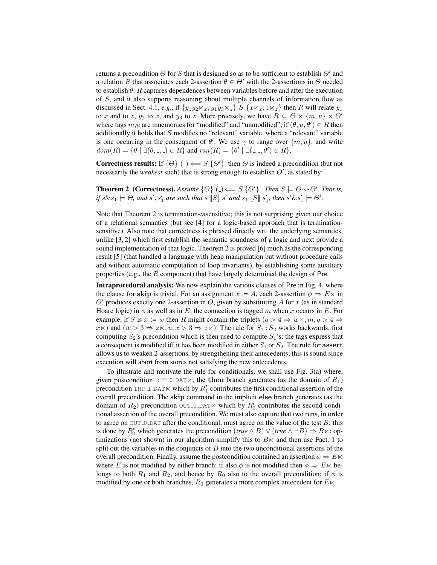returns a precondition  $\Theta$  for S that is designed so as to be sufficient to establish  $\Theta'$  and a relation R that associates each 2-assertion  $\theta \in \Theta'$  with the 2-assertions in  $\Theta$  needed to establish  $\theta$ . R captures dependences between variables before and after the execution of S, and it also supports reasoning about multiple channels of information flow as discussed in Sect. 4.1, *e.g.*, if  $\{y_1y_2 \times_x, y_1y_3 \times_z\}$  S  $\{x \times_x, z \times_z\}$  then R will relate  $y_1$ to x and to z,  $y_2$  to x, and  $y_3$  to z. More precisely, we have  $R \subseteq \Theta \times \{m, u\} \times \Theta'$ where tags  $m, u$  are mnemonics for "modified" and "unmodified"; if  $(\theta, u, \theta') \in R$  then additionally it holds that S modifies no "relevant" variable, where a "relevant" variable is one occurring in the consequent of  $\theta'$ . We use  $\gamma$  to range over  $\{m, u\}$ , and write  $dom(R) = \{\theta \mid \exists (\theta, \_, \_) \in R\}$  and  $ran(R) = \{\theta' \mid \exists (\_, \_, \theta') \in R\}.$ 

**Correctness results:** If  $\{\Theta\}$  ( $\Box$ )  $\Leftarrow$  S  $\{\Theta'\}$  then  $\Theta$  is indeed a precondition (but not necessarily the *weakest* such) that is strong enough to establish  $\Theta'$ , as stated by:

**Theorem 2** (Correctness). Assume  $\{\Theta\}$  ( $\Box$ )  $\Leftarrow$  S  $\{\Theta'\}$ . *Then*  $S \models \Theta \leadsto \Theta'$ . *That is, if*  $s\&s_1 \models \Theta$ , and  $s'$ ,  $s'_1$  are such that  $s \llbracket S \rrbracket$   $s'$  and  $s_1 \llbracket S \rrbracket$   $s'_1$ , then  $s'\&s'_1 \models \Theta'.$ 

Note that Theorem 2 is termination-*in*sensitive; this is not surprising given our choice of a relational semantics (but see [4] for a logic-based approach that is terminationsensitive). Also note that correctness is phrased directly wrt. the underlying semantics, unlike [3, 2] which first establish the semantic soundness of a logic and next provide a sound implementation of that logic. Theorem 2 is proved [6] much as the corresponding result [5] (that handled a language with heap manipulation but without procedure calls and without automatic computation of loop invariants), by establishing some auxiliary properties (e.g., the R component) that have largely determined the design of Pre.

Intraprocedural analysis: We now explain the various clauses of Pre in Fig. 4, where the clause for skip is trivial. For an assignment  $x := A$ , each 2-assertion  $\phi \Rightarrow E \ltimes \text{in}$  $\Theta'$  produces exactly one 2-assertion in  $\Theta$ , given by substituting A for x (as in standard Hoare logic) in  $\phi$  as well as in E; the connection is tagged m when x occurs in E. For example, if S is x := w then R might contain the triplets (q > 4 ⇒ wn, m, q > 4 ⇒  $x \ltimes x$ ) and  $(w > 3 \Rightarrow z \ltimes, u, x > 3 \Rightarrow z \ltimes)$ . The rule for  $S_1$ ;  $S_2$  works backwards, first computing  $S_2$ 's precondition which is then used to compute  $S_1$ 's; the tags express that a consequent is modified iff it has been modified in either  $S_1$  or  $S_2$ . The rule for assert allows us to weaken 2-assertions, by strengthening their antecedents; this is sound since execution will abort from stores not satisfying the new antecedents.

To illustrate and motivate the rule for conditionals, we shall use Fig. 3(a) where, given postcondition  $OUT_0_DAT\ltimes$ , the then branch generates (as the domain of  $R_1$ ) precondition INP<sub>-1</sub>-DAT<sub>K</sub> which by  $R_1'$  contributes the first conditional assertion of the overall precondition. The skip command in the implicit else branch generates (as the domain of  $R_2$ ) precondition OUT O DATK which by  $R'_2$  contributes the second conditional assertion of the overall precondition. We must also capture that two runs, in order to agree on  $OUT_0$  DAT after the conditional, must agree on the value of the test  $B$ ; this is done by  $R'_0$  which generates the precondition (*true*  $\land$  B)  $\lor$  (*true*  $\land \neg B$ )  $\Rightarrow$  B $\ltimes$ ; optimizations (not shown) in our algorithm simplify this to  $B\ltimes$  and then use Fact. 1 to split out the variables in the conjuncts of  $B$  into the two unconditional assertions of the overall precondition. Finally, assume the postcondition contained an assertion  $\phi \Rightarrow E \ltimes$ where E is not modified by either branch: if also  $\phi$  is not modified then  $\phi \Rightarrow E \ltimes$  belongs to both  $R_1$  and  $R_2$ , and hence by  $R_0$  also to the overall precondition; if  $\phi$  is modified by one or both branches,  $R_0$  generates a more complex antecedent for  $E \ltimes$ .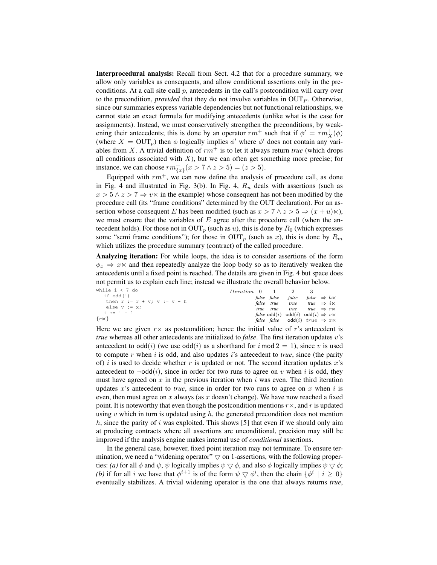Interprocedural analysis: Recall from Sect. 4.2 that for a procedure summary, we allow only variables as consequents, and allow conditional assertions only in the preconditions. At a call site call  $p$ , antecedents in the call's postcondition will carry over to the precondition, *provided* that they do not involve variables in  $OUT<sub>P</sub>$ . Otherwise, since our summaries express variable dependencies but not functional relationships, we cannot state an exact formula for modifying antecedents (unlike what is the case for assignments). Instead, we must conservatively strengthen the preconditions, by weakening their antecedents; this is done by an operator  $rm^+$  such that if  $\phi' = rm_X^+(\phi)$ (where  $X = \text{OUT}_p$ ) then  $\phi$  logically implies  $\phi'$  where  $\phi'$  does not contain any variables from X. A trivial definition of  $rm^+$  is to let it always return *true* (which drops all conditions associated with  $X$ ), but we can often get something more precise; for instance, we can choose  $rm_{\{x\}}^+(x > 7 \land z > 5) = (z > 5)$ .

Equipped with  $rm^+$ , we can now define the analysis of procedure call, as done in Fig. 4 and illustrated in Fig. 3(b). In Fig. 4,  $R_u$  deals with assertions (such as  $x > 5 \land z > 7 \Rightarrow v \times$  in the example) whose consequent has not been modified by the procedure call (its "frame conditions" determined by the OUT declaration). For an assertion whose consequent E has been modified (such as  $x > 7 \land z > 5 \Rightarrow (x + u) \times$ ), we must ensure that the variables of  $E$  agree after the procedure call (when the antecedent holds). For those not in OUT<sub>p</sub> (such as u), this is done by  $R_0$  (which expresses some "semi frame conditions"); for those in OUT<sub>p</sub> (such as x), this is done by  $R_m$ which utilizes the procedure summary (contract) of the called procedure.

Analyzing iteration: For while loops, the idea is to consider assertions of the form  $\phi_x \Rightarrow x \times$  and then repeatedly analyze the loop body so as to iteratively weaken the antecedents until a fixed point is reached. The details are given in Fig. 4 but space does not permit us to explain each line; instead we illustrate the overall behavior below.

| while i < 7 do                   | <i>Iteration</i> 0 1 |       |      | $\overline{2}$                                                                       |                               |  |
|----------------------------------|----------------------|-------|------|--------------------------------------------------------------------------------------|-------------------------------|--|
| if odd(i)                        |                      |       |      | false false false false $\Rightarrow h \ltimes$                                      |                               |  |
| then $r := r + v$ ; $v := v + h$ |                      |       |      | false true true true $\Rightarrow i \times$                                          |                               |  |
| else $v := x$ ;                  |                      | true. | true | true                                                                                 | true $\Rightarrow$ r $\times$ |  |
| $i := i + 1$                     |                      |       |      | <i>false</i> odd( <i>i</i> ) odd( <i>i</i> ) odd( <i>i</i> ) $\Rightarrow v \ltimes$ |                               |  |
| $\{r\,\mathsf{K}\}$              |                      |       |      | <i>false false</i> $\neg odd(i)$ <i>true</i> $\Rightarrow$ $x \ltimes$               |                               |  |

Here we are given  $r \times$  as postcondition; hence the initial value of r's antecedent is *true* whereas all other antecedents are initialized to *false*. The first iteration updates v's antecedent to  $odd(i)$  (we use  $odd(i)$  as a shorthand for i mod  $2 = 1$ ), since v is used to compute  $r$  when  $i$  is odd, and also updates  $i$ 's antecedent to *true*, since (the parity of) i is used to decide whether r is updated or not. The second iteration updates  $x$ 's antecedent to  $\neg odd(i)$ , since in order for two runs to agree on v when i is odd, they must have agreed on  $x$  in the previous iteration when  $i$  was even. The third iteration updates  $x$ 's antecedent to *true*, since in order for two runs to agree on  $x$  when  $i$  is even, then must agree on x always (as x doesn't change). We have now reached a fixed point. It is noteworthy that even though the postcondition mentions  $r \times$ , and r is updated using v which in turn is updated using  $h$ , the generated precondition does not mention  $h$ , since the parity of i was exploited. This shows [5] that even if we should only aim at producing contracts where all assertions are unconditional, precision may still be improved if the analysis engine makes internal use of *conditional* assertions.

In the general case, however, fixed point iteration may not terminate. To ensure termination, we need a "widening operator"  $\bigtriangledown$  on 1-assertions, with the following properties: *(a)* for all  $\phi$  and  $\psi$ ,  $\psi$  logically implies  $\psi \nabla \phi$ , and also  $\phi$  logically implies  $\psi \nabla \phi$ ; *(b)* if for all *i* we have that  $\phi^{i+1}$  is of the form  $\psi \nabla \phi^i$ , then the chain  $\{\phi^i \mid i \geq 0\}$ eventually stabilizes. A trivial widening operator is the one that always returns *true*,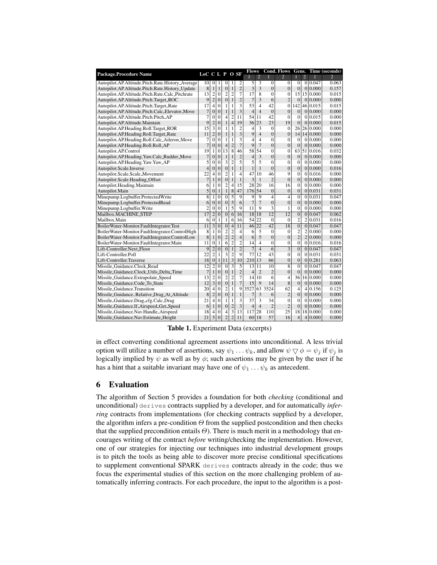| Package.Procedure Name                           |                 |                         | $LoC$ $C$ $L$ $P$ |                         |                         | O SF                    | <b>Flows</b><br>$\overline{2}$ |                         |                 | <b>Cond. Flows</b> | Gens.<br>$\overline{2}$ |  |            | Time (seconds)<br>$\overline{2}$ |  |
|--------------------------------------------------|-----------------|-------------------------|-------------------|-------------------------|-------------------------|-------------------------|--------------------------------|-------------------------|-----------------|--------------------|-------------------------|--|------------|----------------------------------|--|
|                                                  |                 |                         |                   |                         |                         |                         |                                |                         |                 | $\overline{2}$     |                         |  | 1          |                                  |  |
| Autopilot.AP.Altitude.Pitch.Rate.History_Average | 10              | $\mathbf{0}$            | 1                 | 0                       | 1                       | $\overline{2}$          | 5                              | 3                       | $\overline{0}$  | $\mathbf{0}$       | $\mathbf{0}$            |  | $0\,0.047$ | 0.063                            |  |
| Autopilot.AP.Altitude.Pitch.Rate.History_Update  | 8               | $\mathbf{1}$            | $\mathbf{1}$      | $\mathbf{0}$            | $\mathbf{1}$            | $\overline{c}$          | 3                              | 3                       | $\overline{0}$  | $\mathbf{0}$       | $\overline{0}$          |  | 0 0.000    | 0.157                            |  |
| Autopilot.AP.Altitude.Pitch.Rate.Calc_Pitchrate  | 13              | $\overline{c}$          | $\overline{0}$    | $\overline{c}$          | $\overline{c}$          | $\overline{7}$          | 17                             | 8                       | $\overline{0}$  | $\overline{0}$     | 15                      |  | 15 0.000   | 0.015                            |  |
| Autopilot.AP.Altitude.Pitch.Target_ROC           | 9               | $\overline{c}$          | $\boldsymbol{0}$  | $\overline{0}$          | $\mathbf{1}$            | $\overline{c}$          | $\overline{7}$                 | 3                       | 6               | $\overline{2}$     | $\overline{0}$          |  | $0\,0.000$ | 0.000                            |  |
| Autopilot.AP.Altitude.Pitch.Target_Rate          | 17              | $\overline{4}$          | $\overline{0}$    | 1                       | 1                       | $\overline{\mathbf{3}}$ | 53                             | $\overline{4}$          | 42              | $\overline{0}$     | 142                     |  | 46 0.015   | 0.015                            |  |
| Autopilot.AP.Altitude.Pitch.Calc_Elevator_Move   | $\overline{7}$  | $\overline{0}$          | $\overline{0}$    | $\mathbf{1}$            | $\mathbf{1}$            | 3                       | $\overline{4}$                 | $\overline{4}$          | $\overline{0}$  | $\overline{0}$     | $\mathbf{0}$            |  | 0 0.000    | 0.000                            |  |
| Autopilot.AP.Altitude.Pitch.Pitch_AP             | $\overline{7}$  | $\mathbf{0}$            | $\overline{0}$    | $\overline{4}$          | $\overline{c}$          | 11                      | 54                             | 11                      | 42              | $\overline{0}$     | $\mathbf{0}$            |  | $0\,0.015$ | 0.000                            |  |
| Autopilot.AP.Altitude.Maintain                   | 9               | $\frac{2}{3}$           | $\boldsymbol{0}$  | $\mathbf{1}$            | $\overline{4}$          | 19                      | 36                             | 23                      | 23              | 19                 | $\overline{0}$          |  | 0 0.000    | 0.015                            |  |
| Autopilot.AP.Heading.Roll.Target_ROR             | 15              |                         | $\overline{0}$    | 1                       | $\mathbf{1}$            | $\overline{2}$          | $\overline{4}$                 | $\overline{\mathbf{3}}$ | $\overline{0}$  | $\theta$           | 26                      |  | 26 0.000   | 0.000                            |  |
| Autopilot.AP.Heading.Roll.Target_Rate            | 11              | $\overline{c}$          | $\overline{0}$    | $\mathbf{1}$            | $\mathbf{1}$            | 3                       | 9                              | $\overline{4}$          | $\overline{0}$  | $\mathbf{0}$       | 14                      |  | 14 0.000   | 0.000                            |  |
| Autopilot.AP.Heading.Roll.Calc_Aileron_Move      | $\overline{7}$  | $\overline{0}$          | $\overline{0}$    | $\overline{1}$          | $\mathbf{1}$            | 3                       | $\overline{4}$                 | $\overline{4}$          | $\theta$        | $\mathbf{0}$       | $\Omega$                |  | 0 0.000    | 0.000                            |  |
| Autopilot.AP.Heading.Roll.Roll_AP                | $\overline{7}$  | $\overline{0}$          | $\boldsymbol{0}$  | $\overline{4}$          | $\overline{\mathbf{c}}$ | 7                       | 9                              | $\overline{7}$          | $\theta$        | $\overline{0}$     | $\Omega$                |  | $0\,0.000$ | 0.000                            |  |
| Autopilot.AP.Control                             | 19              | $\mathbf{1}$            | $\overline{0}$    | 13                      | 8                       | 46                      | 58                             | 54                      | $\theta$        | $\overline{0}$     | 63                      |  | 51 0.016   | 0.032                            |  |
| Autopilot.AP.Heading.Yaw.Calc_Rudder_Move        | $\overline{7}$  | $\overline{0}$          | $\overline{0}$    | $\mathbf{1}$            | $\mathbf{1}$            | $\overline{c}$          | $\overline{4}$                 | 3                       | $\overline{0}$  | $\overline{0}$     | $\overline{0}$          |  | 0 0.000    | 0.000                            |  |
| Autopilot.AP.Heading.Yaw.Yaw_AP                  | 5               | $\overline{0}$          | $\overline{0}$    | $\overline{\mathbf{3}}$ | $\overline{c}$          | 5                       | 5                              | 5                       | $\overline{0}$  | $\overline{0}$     | $\Omega$                |  | $0\,0.000$ | 0.000                            |  |
| Autopilot.Scale.Inverse                          | $\overline{4}$  | $\overline{0}$          | $\boldsymbol{0}$  | $\overline{0}$          | $\mathbf{1}$            | $\mathbf{1}$            | $\mathbf{1}$                   | $\mathbf{1}$            | $\overline{0}$  | $\mathbf{0}$       | $\overline{0}$          |  | $0\,0.000$ | 0.016                            |  |
| Autopilot.Scale.Scale_Movement                   | 22              | $\overline{4}$          | $\overline{0}$    | $\overline{2}$          | $\overline{1}$          | $\overline{4}$          | 47                             | 10                      | 46              | 9                  | $\overline{0}$          |  | $0\,0.016$ | 0.000                            |  |
| Autopilot.Scale.Heading_Offset                   | $\overline{7}$  | $\mathbf{1}$            | $\overline{0}$    | $\overline{0}$          | $\mathbf{1}$            | $\mathbf{1}$            | 3                              | $\mathbf{1}$            | $\overline{2}$  | $\overline{0}$     | $\Omega$                |  | 0 0.000    | 0.000                            |  |
| Autopilot.Heading.Maintain                       | 6               | 1                       | $\overline{0}$    | $\overline{c}$          | $\overline{4}$          | 15                      | 28                             | 20                      | 16              | 16                 | $\overline{0}$          |  | $0\,0.000$ | 0.000                            |  |
| Autopilot.Main                                   | 5               | $\overline{0}$          | $\mathbf{1}$      | $\mathbf{1}$            | 8                       | 47                      | 176                            | 54                      | $\overline{0}$  | $\overline{0}$     | $\overline{0}$          |  | 0 0.031    | 0.031                            |  |
| Minepump.Logbuffer.ProtectedWrite                | $\overline{8}$  | $\overline{1}$          | $\overline{0}$    | $\overline{0}$          | $\overline{5}$          | 9                       | 9                              | 9                       | $\overline{4}$  | $\overline{4}$     | $\overline{0}$          |  | $0\,0.031$ | 0.047                            |  |
| Minepump.Logbuffer.ProtectedRead                 | 6               | $\overline{0}$          | $\overline{0}$    | $\overline{0}$          | 5                       | 6                       | $\overline{7}$                 | $\overline{7}$          | $\overline{0}$  | $\overline{0}$     | $\overline{0}$          |  | 0 0.000    | 0.000                            |  |
| Minepump.Logbuffer.Write                         | $\overline{c}$  | $\overline{0}$          | $\overline{0}$    | $\mathbf{1}$            | 5                       | 9                       | 11                             | 9                       | 3               | 1                  | $\theta$                |  | 0 0.000    | 0.000                            |  |
| Mailbox.MACHINE_STEP                             | $\overline{17}$ | $\overline{2}$          | $\overline{0}$    | $\overline{0}$          | $\overline{6}$          | 16                      | 18                             | 18                      | $\overline{12}$ | 12                 | $\overline{0}$          |  | 0 0.047    | 0.062                            |  |
| Mailbox.Main                                     | 6               | $\boldsymbol{0}$        | $\mathbf{1}$      | $\mathbf{1}$            | 6                       | 16                      | 54                             | 22                      | $\Omega$        | $\overline{0}$     | $\overline{c}$          |  | 2 0.031    | 0.016                            |  |
| BoilerWater-Monitor.FaultIntegrator.Test         | $\overline{11}$ | 3                       | $\overline{0}$    | $\overline{0}$          | $\overline{4}$          | 11                      | 46                             | $\overline{22}$         | 42              | 18                 | $\overline{0}$          |  | $0\,0.047$ | 0.047                            |  |
| BoilerWater-Monitor.FaultIntegrator.ControlHigh  | 8               | $\mathbf{1}$            | $\overline{0}$    | $\overline{c}$          | $\overline{c}$          | $\overline{4}$          | 6                              | 5                       | $\overline{0}$  | $\overline{0}$     | $\overline{c}$          |  | 2 0.000    | 0.000                            |  |
| BoilerWater-Monitor.FaultIntegrator.ControlLow   | 8               | $\mathbf{1}$            | $\boldsymbol{0}$  | $\overline{2}$          | $\overline{2}$          | $\overline{4}$          | 6                              | 5                       | $\overline{0}$  | $\mathbf{0}$       | $\overline{2}$          |  | 2 0.000    | 0.000                            |  |
| BoilerWater-Monitor.FaultIntegrator.Main         | $\overline{11}$ | $\overline{0}$          | 1                 | 6                       | $\overline{2}$          | $\overline{c}$          | 14                             | $\overline{4}$          | $\Omega$        | $\overline{0}$     | $\theta$                |  | 0 0.016    | 0.016                            |  |
| Lift-Controller.Next_Floor                       | 9               | $\overline{2}$          | $\overline{0}$    | $\overline{0}$          | $\overline{1}$          | $\overline{2}$          | $\overline{7}$                 | $\overline{4}$          | 6               | 3                  | $\overline{0}$          |  | 0 0.047    | 0.047                            |  |
| Lift-Controller.Poll                             | 22              | $\overline{c}$          | $\mathbf{1}$      | 3                       | $\overline{c}$          | 9                       | 77                             | 12                      | 43              | $\overline{0}$     | $\theta$                |  | 0 0.031    | 0.031                            |  |
| Lift-Controller.Traverse                         | 18              | $\overline{0}$          | $\mathbf{1}$      | 11                      | 3                       | 10                      | 210                            | 13                      | 66              | $\mathbf{0}$       | $\overline{0}$          |  | 0 0.281    | 0.063                            |  |
| Missile_Guidance.Clock_Read                      | $\overline{12}$ | $\overline{2}$          | $\overline{0}$    | $\overline{0}$          | $\overline{3}$          | $\overline{5}$          | 13                             | 11                      | 10              | 8                  | $\theta$                |  | 0.047      | 0.047                            |  |
| Missile_Guidance.Clock_Utils_Delta_Time          | $\overline{7}$  | $\mathbf{1}$            | $\boldsymbol{0}$  | $\mathbf{0}$            | $\mathbf{1}$            | $\overline{c}$          | $\overline{4}$                 | $\overline{2}$          | $\overline{2}$  | $\overline{0}$     | $\overline{0}$          |  | $0\,0.000$ | 0.000                            |  |
| Missile_Guidance.Extrapolate_Speed               | 13              | $\overline{c}$          | $\overline{0}$    | $\overline{2}$          | $\overline{2}$          | 7                       | 14                             | 10                      | 6               | 4                  | 36                      |  | 16 0.000   | 0.000                            |  |
| Missile_Guidance.Code_To_State                   | 12              | 3                       | $\boldsymbol{0}$  | $\overline{0}$          | $\mathbf{1}$            | 7                       | 15                             | 9                       | 14              | 8                  | $\overline{0}$          |  | 0 0.000    | 0.000                            |  |
| Missile_Guidance.Transition                      | 20              | $\overline{4}$          | $\boldsymbol{0}$  | $\overline{c}$          | $\overline{1}$          | 9                       | 3527                           | 63                      | 3524            | 62                 | $\overline{4}$          |  | 4 0.156    | 0.125                            |  |
| Missile_GuidanceRelative_Drag_At_Altitude        | 8               | $\overline{\mathbf{c}}$ | $\boldsymbol{0}$  | $\overline{0}$          | $\mathbf{1}$            | $\mathbf{1}$            | 7                              | 3                       | 6               | $\overline{c}$     | $\overline{0}$          |  | $0\,0.000$ | 0.000                            |  |
| Missile_Guidance.Drag_cfg.Calc_Drag              | 21              | $\overline{4}$          | $\overline{0}$    | $\mathbf{1}$            | 1                       | $\overline{\mathbf{3}}$ | 37                             | $\overline{\mathbf{3}}$ | 34              | $\overline{0}$     | $\theta$                |  | $0\,0.000$ | 0.000                            |  |
| Missile_Guidance.If_Airspeed_Get_Speed           | 6               | $\mathbf{1}$            | $\boldsymbol{0}$  | $\overline{0}$          | $\overline{c}$          | 3                       | $\overline{4}$                 | $\overline{4}$          | $\overline{2}$  | $\overline{2}$     | $\overline{0}$          |  | 0 0.000    | 0.000                            |  |
| Missile_Guidance.Nav.Handle_Airspeed             | 18              | 4                       | $\overline{0}$    | 4                       | 3                       | 13                      | 117                            | 28                      | 110             | 25                 | 18                      |  | 18 0.000   | 0.000                            |  |
| Missile_Guidance.Nav.Estimate_Height             | 21              | 5                       | $\overline{0}$    | $\overline{2}$          | $\overline{2}$          | 11                      | 60                             | 18                      | 57              | 16                 | $\overline{4}$          |  | 4 0.000    | 0.000                            |  |

Table 1. Experiment Data (excerpts)

in effect converting conditional agreement assertions into unconditional. A less trivial option will utilize a number of assertions, say  $\psi_1 \dots \psi_k$ , and allow  $\psi \nabla \phi = \psi_j$  if  $\psi_j$  is logically implied by  $\psi$  as well as by  $\phi$ ; such assertions may be given by the user if he has a hint that a suitable invariant may have one of  $\psi_1 \dots \psi_k$  as antecedent.

# 6 Evaluation

The algorithm of Section 5 provides a foundation for both *checking* (conditional and unconditional) derives contracts supplied by a developer, and for automatically *inferring* contracts from implementations (for checking contracts supplied by a developer, the algorithm infers a pre-condition  $\Theta$  from the supplied postcondition and then checks that the supplied precondition entails  $\Theta$ ). There is much merit in a methodology that encourages writing of the contract *before* writing/checking the implementation. However, one of our strategies for injecting our techniques into industrial development groups is to pitch the tools as being able to discover more precise conditional specifications to supplement conventional SPARK derives contracts already in the code; thus we focus the experimental studies of this section on the more challenging problem of automatically inferring contracts. For each procedure, the input to the algorithm is a post-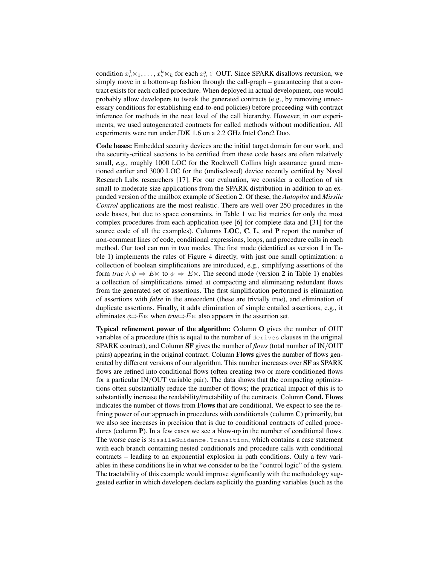condition  $x_o^1 \ltimes_1, \ldots, x_o^k \ltimes_k$  for each  $x_o^j \in$  OUT. Since SPARK disallows recursion, we simply move in a bottom-up fashion through the call-graph – guaranteeing that a contract exists for each called procedure. When deployed in actual development, one would probably allow developers to tweak the generated contracts (e.g., by removing unnecessary conditions for establishing end-to-end policies) before proceeding with contract inference for methods in the next level of the call hierarchy. However, in our experiments, we used autogenerated contracts for called methods without modification. All experiments were run under JDK 1.6 on a 2.2 GHz Intel Core2 Duo.

Code bases: Embedded security devices are the initial target domain for our work, and the security-critical sections to be certified from these code bases are often relatively small, *e.g.*, roughly 1000 LOC for the Rockwell Collins high assurance guard mentioned earlier and 3000 LOC for the (undisclosed) device recently certified by Naval Research Labs researchers [17]. For our evaluation, we consider a collection of six small to moderate size applications from the SPARK distribution in addition to an expanded version of the mailbox example of Section 2. Of these, the *Autopilot* and *Missile Control* applications are the most realistic. There are well over 250 procedures in the code bases, but due to space constraints, in Table 1 we list metrics for only the most complex procedures from each application (see [6] for complete data and [31] for the source code of all the examples). Columns LOC, C, L, and P report the number of non-comment lines of code, conditional expressions, loops, and procedure calls in each method. Our tool can run in two modes. The first mode (identified as version 1 in Table 1) implements the rules of Figure 4 directly, with just one small optimization: a collection of boolean simplifications are introduced, e.g., simplifying assertions of the form *true*  $\land \phi \Rightarrow E \ltimes$  to  $\phi \Rightarrow E \ltimes$ . The second mode (version 2 in Table 1) enables a collection of simplifications aimed at compacting and eliminating redundant flows from the generated set of assertions. The first simplification performed is elimination of assertions with *false* in the antecedent (these are trivially true), and elimination of duplicate assertions. Finally, it adds elimination of simple entailed assertions, e.g., it eliminates  $\phi \Rightarrow E \times$  when *true*⇒ $E \times$  also appears in the assertion set.

Typical refinement power of the algorithm: Column O gives the number of OUT variables of a procedure (this is equal to the number of derives clauses in the original SPARK contract), and Column SF gives the number of *flows* (total number of IN/OUT pairs) appearing in the original contract. Column Flows gives the number of flows generated by different versions of our algorithm. This number increases over SF as SPARK flows are refined into conditional flows (often creating two or more conditioned flows for a particular IN/OUT variable pair). The data shows that the compacting optimizations often substantially reduce the number of flows; the practical impact of this is to substantially increase the readability/tractability of the contracts. Column Cond. Flows indicates the number of flows from Flows that are conditional. We expect to see the refining power of our approach in procedures with conditionals (column  $\bf{C}$ ) primarily, but we also see increases in precision that is due to conditional contracts of called procedures (column P). In a few cases we see a blow-up in the number of conditional flows. The worse case is MissileGuidance.Transition, which contains a case statement with each branch containing nested conditionals and procedure calls with conditional contracts – leading to an exponential explosion in path conditions. Only a few variables in these conditions lie in what we consider to be the "control logic" of the system. The tractability of this example would improve significantly with the methodology suggested earlier in which developers declare explicitly the guarding variables (such as the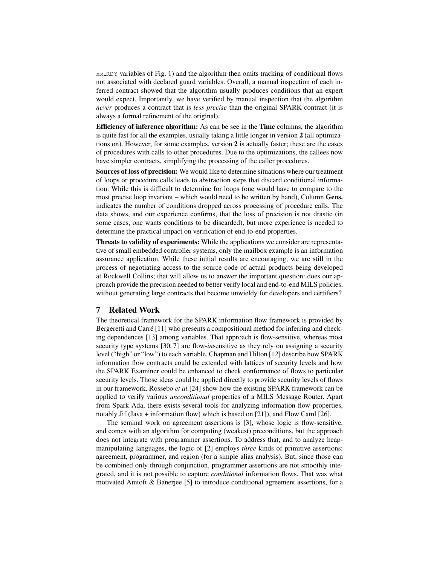$xx$ <sub>RDY</sub> variables of Fig. 1) and the algorithm then omits tracking of conditional flows not associated with declared guard variables. Overall, a manual inspection of each inferred contract showed that the algorithm usually produces conditions that an expert would expect. Importantly, we have verified by manual inspection that the algorithm *never* produces a contract that is *less precise* than the original SPARK contract (it is always a formal refinement of the original).

Efficiency of inference algorithm: As can be see in the Time columns, the algorithm is quite fast for all the examples, usually taking a little longer in version 2 (all optimizations on). However, for some examples, version 2 is actually faster; these are the cases of procedures with calls to other procedures. Due to the optimizations, the callees now have simpler contracts, simplifying the processing of the caller procedures.

Sources of loss of precision: We would like to determine situations where our treatment of loops or procedure calls leads to abstraction steps that discard conditional information. While this is difficult to determine for loops (one would have to compare to the most precise loop invariant – which would need to be written by hand), Column Gens. indicates the number of conditions dropped across processing of procedure calls. The data shows, and our experience confirms, that the loss of precision is not drastic (in some cases, one wants conditions to be discarded), but more experience is needed to determine the practical impact on verification of end-to-end properties.

Threats to validity of experiments: While the applications we consider are representative of small embedded controller systems, only the mailbox example is an information assurance application. While these initial results are encouraging, we are still in the process of negotiating access to the source code of actual products being developed at Rockwell Collins; that will allow us to answer the important question: does our approach provide the precision needed to better verify local and end-to-end MILS policies, without generating large contracts that become unwieldy for developers and certifiers?

### 7 Related Work

The theoretical framework for the SPARK information flow framework is provided by Bergeretti and Carré [11] who presents a compositional method for inferring and checking dependences [13] among variables. That approach is flow-sensitive, whereas most security type systems [30, 7] are flow-*in*sensitive as they rely on assigning a security level ("high" or "low") to each variable. Chapman and Hilton [12] describe how SPARK information flow contracts could be extended with lattices of security levels and how the SPARK Examiner could be enhanced to check conformance of flows to particular security levels. Those ideas could be applied directly to provide security levels of flows in our framework. Rossebo *et al.*[24] show how the existing SPARK framework can be applied to verify various *unconditional* properties of a MILS Message Router. Apart from Spark Ada, there exists several tools for analyzing information flow properties, notably Jif (Java + information flow) which is based on [21]), and Flow Caml [26].

The seminal work on agreement assertions is [3], whose logic is flow-sensitive, and comes with an algorithm for computing (weakest) preconditions, but the approach does not integrate with programmer assertions. To address that, and to analyze heapmanipulating languages, the logic of [2] employs *three* kinds of primitive assertions: agreement, programmer, and region (for a simple alias analysis). But, since those can be combined only through conjunction, programmer assertions are not smoothly integrated, and it is not possible to capture *conditional* information flows. That was what motivated Amtoft & Banerjee [5] to introduce conditional agreement assertions, for a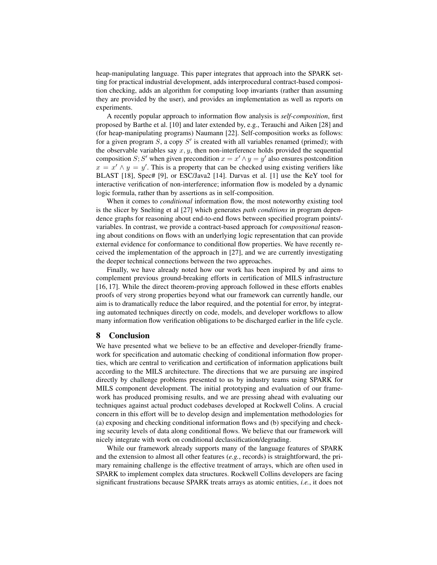heap-manipulating language. This paper integrates that approach into the SPARK setting for practical industrial development, adds interprocedural contract-based composition checking, adds an algorithm for computing loop invariants (rather than assuming they are provided by the user), and provides an implementation as well as reports on experiments.

A recently popular approach to information flow analysis is *self-composition*, first proposed by Barthe et al. [10] and later extended by, e.g., Terauchi and Aiken [28] and (for heap-manipulating programs) Naumann [22]. Self-composition works as follows: for a given program  $S$ , a copy  $S'$  is created with all variables renamed (primed); with the observable variables say  $x, y$ , then non-interference holds provided the sequential composition S; S' when given precondition  $x = x' \wedge y = y'$  also ensures postcondition  $x = x' \wedge y = y'$ . This is a property that can be checked using existing verifiers like BLAST [18], Spec# [9], or ESC/Java2 [14]. Darvas et al. [1] use the KeY tool for interactive verification of non-interference; information flow is modeled by a dynamic logic formula, rather than by assertions as in self-composition.

When it comes to *conditional* information flow, the most noteworthy existing tool is the slicer by Snelting et al [27] which generates *path conditions* in program dependence graphs for reasoning about end-to-end flows between specified program points/ variables. In contrast, we provide a contract-based approach for *compositional* reasoning about conditions on flows with an underlying logic representation that can provide external evidence for conformance to conditional flow properties. We have recently received the implementation of the approach in [27], and we are currently investigating the deeper technical connections between the two approaches.

Finally, we have already noted how our work has been inspired by and aims to complement previous ground-breaking efforts in certification of MILS infrastructure [16, 17]. While the direct theorem-proving approach followed in these efforts enables proofs of very strong properties beyond what our framework can currently handle, our aim is to dramatically reduce the labor required, and the potential for error, by integrating automated techniques directly on code, models, and developer workflows to allow many information flow verification obligations to be discharged earlier in the life cycle.

### 8 Conclusion

We have presented what we believe to be an effective and developer-friendly framework for specification and automatic checking of conditional information flow properties, which are central to verification and certification of information applications built according to the MILS architecture. The directions that we are pursuing are inspired directly by challenge problems presented to us by industry teams using SPARK for MILS component development. The initial prototyping and evaluation of our framework has produced promising results, and we are pressing ahead with evaluating our techniques against actual product codebases developed at Rockwell Colins. A crucial concern in this effort will be to develop design and implementation methodologies for (a) exposing and checking conditional information flows and (b) specifying and checking security levels of data along conditional flows. We believe that our framework will nicely integrate with work on conditional declassification/degrading.

While our framework already supports many of the language features of SPARK and the extension to almost all other features (*e.g.*, records) is straightforward, the primary remaining challenge is the effective treatment of arrays, which are often used in SPARK to implement complex data structures. Rockwell Collins developers are facing significant frustrations because SPARK treats arrays as atomic entities, *i.e.*, it does not